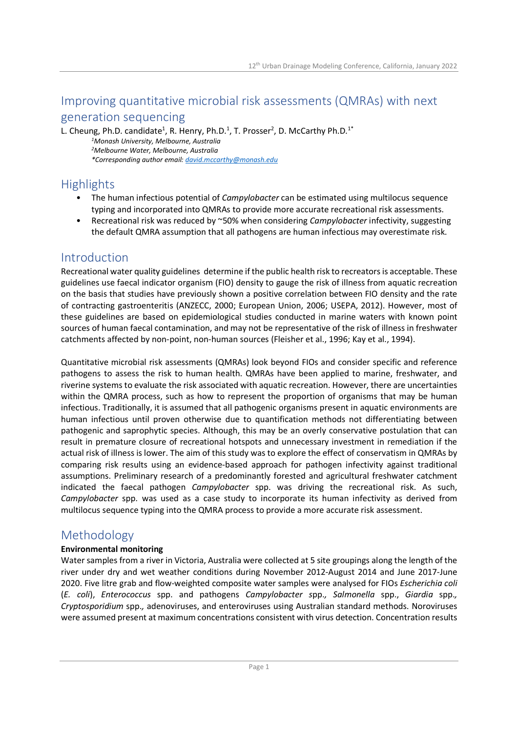# Improving quantitative microbial risk assessments (QMRAs) with next generation sequencing

L. Cheung, Ph.D. candidate<sup>1</sup>, R. Henry, Ph.D.<sup>1</sup>, T. Prosser<sup>2</sup>, D. McCarthy Ph.D.<sup>1\*</sup> <sup>1</sup>Monash University, Melbourne, Australia <sup>2</sup>Melbourne Water, Melbourne, Australia

\*Corresponding author email: david.mccarthy@monash.edu

# **Highlights**

- The human infectious potential of *Campylobacter* can be estimated using multilocus sequence typing and incorporated into QMRAs to provide more accurate recreational risk assessments.
- Recreational risk was reduced by ~50% when considering Campylobacter infectivity, suggesting the default QMRA assumption that all pathogens are human infectious may overestimate risk.

## Introduction

Recreational water quality guidelines determine if the public health risk to recreators is acceptable. These guidelines use faecal indicator organism (FIO) density to gauge the risk of illness from aquatic recreation on the basis that studies have previously shown a positive correlation between FIO density and the rate of contracting gastroenteritis (ANZECC, 2000; European Union, 2006; USEPA, 2012). However, most of these guidelines are based on epidemiological studies conducted in marine waters with known point sources of human faecal contamination, and may not be representative of the risk of illness in freshwater catchments affected by non-point, non-human sources (Fleisher et al., 1996; Kay et al., 1994).

Quantitative microbial risk assessments (QMRAs) look beyond FIOs and consider specific and reference pathogens to assess the risk to human health. QMRAs have been applied to marine, freshwater, and riverine systems to evaluate the risk associated with aquatic recreation. However, there are uncertainties within the QMRA process, such as how to represent the proportion of organisms that may be human infectious. Traditionally, it is assumed that all pathogenic organisms present in aquatic environments are human infectious until proven otherwise due to quantification methods not differentiating between pathogenic and saprophytic species. Although, this may be an overly conservative postulation that can result in premature closure of recreational hotspots and unnecessary investment in remediation if the actual risk of illness is lower. The aim of this study was to explore the effect of conservatism in QMRAs by comparing risk results using an evidence-based approach for pathogen infectivity against traditional assumptions. Preliminary research of a predominantly forested and agricultural freshwater catchment indicated the faecal pathogen *Campylobacter* spp. was driving the recreational risk. As such, Campylobacter spp. was used as a case study to incorporate its human infectivity as derived from multilocus sequence typing into the QMRA process to provide a more accurate risk assessment.

## Methodology

### Environmental monitoring

Water samples from a river in Victoria, Australia were collected at 5 site groupings along the length of the river under dry and wet weather conditions during November 2012-August 2014 and June 2017-June 2020. Five litre grab and flow-weighted composite water samples were analysed for FIOs Escherichia coli (E. coli), Enterococcus spp. and pathogens Campylobacter spp., Salmonella spp., Giardia spp., Cryptosporidium spp., adenoviruses, and enteroviruses using Australian standard methods. Noroviruses were assumed present at maximum concentrations consistent with virus detection. Concentration results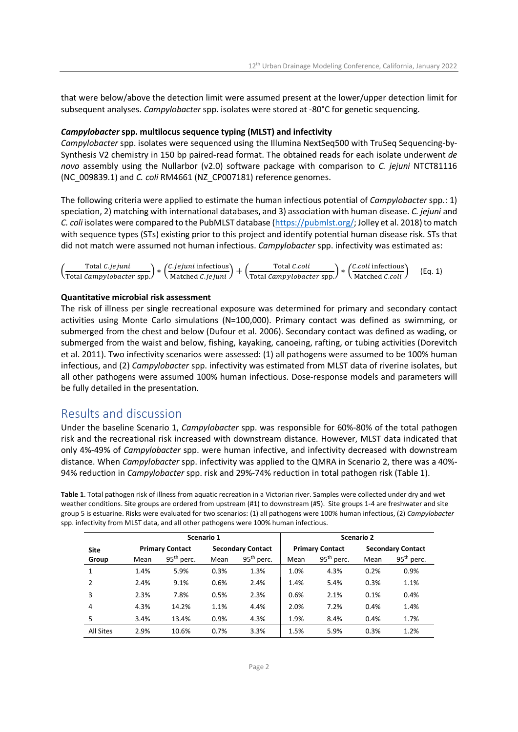that were below/above the detection limit were assumed present at the lower/upper detection limit for subsequent analyses. Campylobacter spp. isolates were stored at -80°C for genetic sequencing.

#### Campylobacter spp. multilocus sequence typing (MLST) and infectivity

Campylobacter spp. isolates were sequenced using the Illumina NextSeq500 with TruSeq Sequencing-by-Synthesis V2 chemistry in 150 bp paired-read format. The obtained reads for each isolate underwent de novo assembly using the Nullarbor (v2.0) software package with comparison to C. jejuni NTCT81116 (NC\_009839.1) and C. coli RM4661 (NZ\_CP007181) reference genomes.

The following criteria were applied to estimate the human infectious potential of Campylobacter spp.: 1) speciation, 2) matching with international databases, and 3) association with human disease. C. jejuni and C. coli isolates were compared to the PubMLST database (https://pubmlst.org/; Jolley et al. 2018) to match with sequence types (STs) existing prior to this project and identify potential human disease risk. STs that did not match were assumed not human infectious. Campylobacter spp. infectivity was estimated as:

| Total <i>C.je juni</i>           | <i>(C.jejuni</i> infectious) | Total <i>C.coli</i>              | $\sqrt{C}$ .coli infectious   | (Eq. 1) |  |
|----------------------------------|------------------------------|----------------------------------|-------------------------------|---------|--|
| \Total <i>Campylobacter</i> spp. | \ Matched C. <i>iejuni</i> J | \Total <i>Campylobacter</i> spp. | <i>N</i> atched <i>C.coli</i> |         |  |

#### Quantitative microbial risk assessment

The risk of illness per single recreational exposure was determined for primary and secondary contact activities using Monte Carlo simulations (N=100,000). Primary contact was defined as swimming, or submerged from the chest and below (Dufour et al. 2006). Secondary contact was defined as wading, or submerged from the waist and below, fishing, kayaking, canoeing, rafting, or tubing activities (Dorevitch et al. 2011). Two infectivity scenarios were assessed: (1) all pathogens were assumed to be 100% human infectious, and (2) Campylobacter spp. infectivity was estimated from MLST data of riverine isolates, but all other pathogens were assumed 100% human infectious. Dose-response models and parameters will be fully detailed in the presentation.

## Results and discussion

Under the baseline Scenario 1, Campylobacter spp. was responsible for 60%-80% of the total pathogen risk and the recreational risk increased with downstream distance. However, MLST data indicated that only 4%-49% of Campylobacter spp. were human infective, and infectivity decreased with downstream distance. When Campylobacter spp. infectivity was applied to the QMRA in Scenario 2, there was a 40%-94% reduction in Campylobacter spp. risk and 29%-74% reduction in total pathogen risk (Table 1).

Table 1. Total pathogen risk of illness from aquatic recreation in a Victorian river. Samples were collected under dry and wet weather conditions. Site groups are ordered from upstream (#1) to downstream (#5). Site groups 1-4 are freshwater and site group 5 is estuarine. Risks were evaluated for two scenarios: (1) all pathogens were 100% human infectious, (2) Campylobacter spp. infectivity from MLST data, and all other pathogens were 100% human infectious.

| Scenario 1       |      |                        |      |                          |                        | Scenario 2             |                          |                        |  |  |
|------------------|------|------------------------|------|--------------------------|------------------------|------------------------|--------------------------|------------------------|--|--|
| <b>Site</b>      |      | <b>Primary Contact</b> |      | <b>Secondary Contact</b> | <b>Primary Contact</b> |                        | <b>Secondary Contact</b> |                        |  |  |
| Group            | Mean | $95th$ perc.           | Mean | $95th$ perc.             | Mean                   | 95 <sup>th</sup> perc. | Mean                     | 95 <sup>th</sup> perc. |  |  |
| $\mathbf{1}$     | 1.4% | 5.9%                   | 0.3% | 1.3%                     | 1.0%                   | 4.3%                   | 0.2%                     | 0.9%                   |  |  |
| 2                | 2.4% | 9.1%                   | 0.6% | 2.4%                     | 1.4%                   | 5.4%                   | 0.3%                     | 1.1%                   |  |  |
| 3                | 2.3% | 7.8%                   | 0.5% | 2.3%                     | 0.6%                   | 2.1%                   | 0.1%                     | 0.4%                   |  |  |
| 4                | 4.3% | 14.2%                  | 1.1% | 4.4%                     | 2.0%                   | 7.2%                   | 0.4%                     | 1.4%                   |  |  |
| 5                | 3.4% | 13.4%                  | 0.9% | 4.3%                     | 1.9%                   | 8.4%                   | 0.4%                     | 1.7%                   |  |  |
| <b>All Sites</b> | 2.9% | 10.6%                  | 0.7% | 3.3%                     | 1.5%                   | 5.9%                   | 0.3%                     | 1.2%                   |  |  |